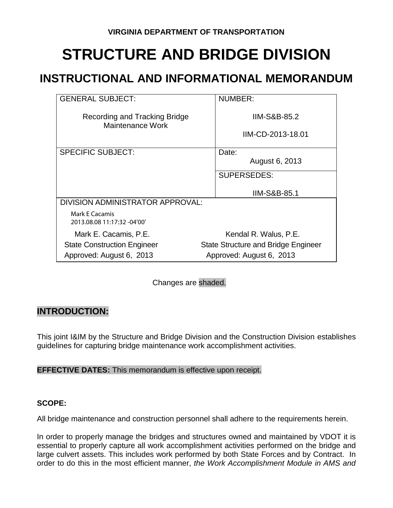# **STRUCTURE AND BRIDGE DIVISION**

# **INSTRUCTIONAL AND INFORMATIONAL MEMORANDUM**

| <b>GENERAL SUBJECT:</b>                           | <b>NUMBER:</b>                                |
|---------------------------------------------------|-----------------------------------------------|
| Recording and Tracking Bridge<br>Maintenance Work | <b>IIM-S&amp;B-85.2</b><br>IIM-CD-2013-18.01  |
| <b>SPECIFIC SUBJECT:</b>                          | Date:<br>August 6, 2013<br><b>SUPERSEDES:</b> |
|                                                   | <b>IIM-S&amp;B-85.1</b>                       |
| DIVISION ADMINISTRATOR APPROVAL:                  |                                               |
| Mark E Cacamis<br>2013.08.08 11:17:32 -04'00'     |                                               |
| Mark E. Cacamis, P.E.                             | Kendal R. Walus, P.E.                         |
| <b>State Construction Engineer</b>                | <b>State Structure and Bridge Engineer</b>    |
| Approved: August 6, 2013                          | Approved: August 6, 2013                      |

Changes are shaded.

### **INTRODUCTION:**

This joint I&IM by the Structure and Bridge Division and the Construction Division establishes guidelines for capturing bridge maintenance work accomplishment activities.

#### **EFFECTIVE DATES:** This memorandum is effective upon receipt.

#### **SCOPE:**

All bridge maintenance and construction personnel shall adhere to the requirements herein.

In order to properly manage the bridges and structures owned and maintained by VDOT it is essential to properly capture all work accomplishment activities performed on the bridge and large culvert assets. This includes work performed by both State Forces and by Contract. In order to do this in the most efficient manner, *the Work Accomplishment Module in AMS and*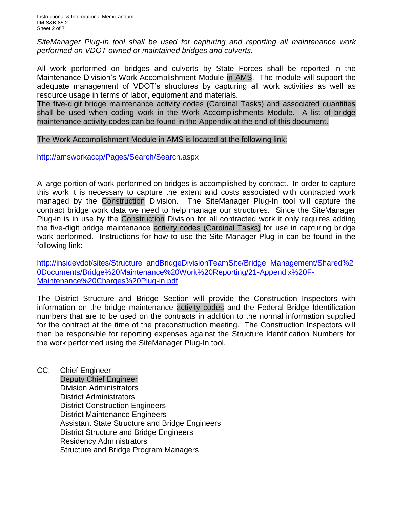Instructional & Informational Memorandum IIM-S&B-85.2 Sheet 2 of 7

*SiteManager Plug-In tool shall be used for capturing and reporting all maintenance work performed on VDOT owned or maintained bridges and culverts.*

All work performed on bridges and culverts by State Forces shall be reported in the Maintenance Division's Work Accomplishment Module in AMS. The module will support the adequate management of VDOT's structures by capturing all work activities as well as resource usage in terms of labor, equipment and materials.

The five-digit bridge maintenance activity codes (Cardinal Tasks) and associated quantities shall be used when coding work in the Work Accomplishments Module. A list of bridge maintenance activity codes can be found in the Appendix at the end of this document.

#### The Work Accomplishment Module in AMS is located at the following link:

<http://amsworkaccp/Pages/Search/Search.aspx>

A large portion of work performed on bridges is accomplished by contract. In order to capture this work it is necessary to capture the extent and costs associated with contracted work managed by the Construction Division. The SiteManager Plug-In tool will capture the contract bridge work data we need to help manage our structures. Since the SiteManager Plug-in is in use by the Construction Division for all contracted work it only requires adding the five-digit bridge maintenance activity codes (Cardinal Tasks) for use in capturing bridge work performed. Instructions for how to use the Site Manager Plug in can be found in the following link:

[http://insidevdot/sites/Structure\\_andBridgeDivisionTeamSite/Bridge\\_Management/Shared%2](http://insidevdot/sites/Structure_andBridgeDivisionTeamSite/Bridge_Management/Shared%20Documents/Bridge%20Maintenance%20Work%20Reporting/21-Appendix%20F-Maintenance%20Charges%20Plug-in.pdf) [0Documents/Bridge%20Maintenance%20Work%20Reporting/21-Appendix%20F-](http://insidevdot/sites/Structure_andBridgeDivisionTeamSite/Bridge_Management/Shared%20Documents/Bridge%20Maintenance%20Work%20Reporting/21-Appendix%20F-Maintenance%20Charges%20Plug-in.pdf)[Maintenance%20Charges%20Plug-in.pdf](http://insidevdot/sites/Structure_andBridgeDivisionTeamSite/Bridge_Management/Shared%20Documents/Bridge%20Maintenance%20Work%20Reporting/21-Appendix%20F-Maintenance%20Charges%20Plug-in.pdf)

The District Structure and Bridge Section will provide the Construction Inspectors with information on the bridge maintenance activity codes and the Federal Bridge Identification numbers that are to be used on the contracts in addition to the normal information supplied for the contract at the time of the preconstruction meeting. The Construction Inspectors will then be responsible for reporting expenses against the Structure Identification Numbers for the work performed using the SiteManager Plug-In tool.

CC: Chief Engineer Deputy Chief Engineer Division Administrators District Administrators District Construction Engineers District Maintenance Engineers Assistant State Structure and Bridge Engineers District Structure and Bridge Engineers Residency Administrators Structure and Bridge Program Managers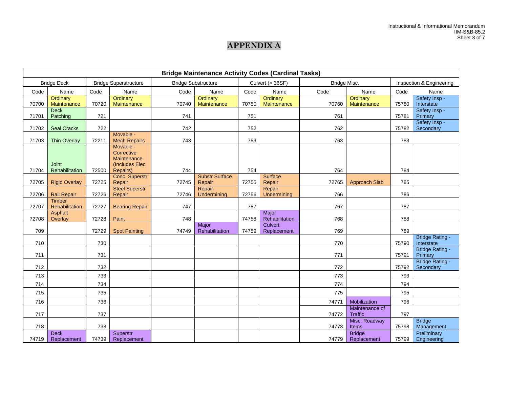## **APPENDIX A**

| <b>Bridge Maintenance Activity Codes (Cardinal Tasks)</b> |                            |       |                                  |       |                            |       |                         |              |                                  |       |                                     |
|-----------------------------------------------------------|----------------------------|-------|----------------------------------|-------|----------------------------|-------|-------------------------|--------------|----------------------------------|-------|-------------------------------------|
|                                                           | <b>Bridge Deck</b>         |       | <b>Bridge Superstructure</b>     |       | <b>Bridge Substructure</b> |       | Culvert (> 36SF)        | Bridge Misc. |                                  |       | Inspection & Engineering            |
| Code                                                      | Name                       | Code  | Name                             | Code  | Name                       | Code  | Name                    | Code         | Name                             | Code  | Name                                |
| 70700                                                     | Ordinary<br>Maintenance    | 70720 | Ordinary<br>Maintenance          | 70740 | Ordinary<br>Maintenance    | 70750 | Ordinary<br>Maintenance | 70760        | Ordinary<br>Maintenance          | 75780 | Safety Insp -<br>Interstate         |
| 71701                                                     | <b>Deck</b><br>Patching    | 721   |                                  | 741   |                            | 751   |                         | 761          |                                  | 75781 | Safety Insp -<br>Primary            |
|                                                           |                            |       |                                  |       |                            |       |                         |              |                                  |       | Safety Insp -                       |
| 71702                                                     | <b>Seal Cracks</b>         | 722   |                                  | 742   |                            | 752   |                         | 762          |                                  | 75782 | Secondary                           |
| 71703                                                     | <b>Thin Overlay</b>        | 72211 | Movable -<br><b>Mech Repairs</b> | 743   |                            | 753   |                         | 763          |                                  | 783   |                                     |
|                                                           |                            |       | Movable -<br>Corrective          |       |                            |       |                         |              |                                  |       |                                     |
|                                                           |                            |       | Maintenance                      |       |                            |       |                         |              |                                  |       |                                     |
|                                                           | <b>Joint</b>               |       | (Includes Elec                   |       |                            |       |                         |              |                                  |       |                                     |
| 71704                                                     | Rehabilitation             | 72500 | Repairs)<br>Conc. Superstr       | 744   | <b>Substr Surface</b>      | 754   | Surface                 | 764          |                                  | 784   |                                     |
| 72705                                                     | <b>Rigid Overlay</b>       | 72725 | Repair                           | 72745 | Repair                     | 72755 | Repair                  | 72765        | <b>Approach Slab</b>             | 785   |                                     |
| 72706                                                     | Rail Repair                | 72726 | <b>Steel Superstr</b><br>Repair  | 72746 | Repair<br>Undermining      | 72756 | Repair<br>Undermining   | 766          |                                  | 786   |                                     |
|                                                           | <b>Timber</b>              |       |                                  |       |                            |       |                         |              |                                  |       |                                     |
| 72707                                                     | Rehabilitation             | 72727 | <b>Bearing Repair</b>            | 747   |                            | 757   |                         | 767          |                                  | 787   |                                     |
| 72708                                                     | Asphalt<br>Overlay         | 72728 | Paint                            | 748   |                            | 74758 | Major<br>Rehabilitation | 768          |                                  | 788   |                                     |
|                                                           |                            |       |                                  |       | Major                      |       | <b>Culvert</b>          |              |                                  |       |                                     |
| 709                                                       |                            | 72729 | <b>Spot Painting</b>             | 74749 | Rehabilitation             | 74759 | Replacement             | 769          |                                  | 789   | <b>Bridge Rating -</b>              |
| 710                                                       |                            | 730   |                                  |       |                            |       |                         | 770          |                                  | 75790 | Interstate                          |
| 711                                                       |                            | 731   |                                  |       |                            |       |                         | 771          |                                  | 75791 | <b>Bridge Rating -</b><br>Primary   |
| 712                                                       |                            | 732   |                                  |       |                            |       |                         | 772          |                                  | 75792 | <b>Bridge Rating -</b><br>Secondary |
| 713                                                       |                            | 733   |                                  |       |                            |       |                         | 773          |                                  | 793   |                                     |
| 714                                                       |                            | 734   |                                  |       |                            |       |                         | 774          |                                  | 794   |                                     |
| 715                                                       |                            | 735   |                                  |       |                            |       |                         | 775          |                                  | 795   |                                     |
| 716                                                       |                            | 736   |                                  |       |                            |       |                         | 74771        | Mobilization                     | 796   |                                     |
| 717                                                       |                            | 737   |                                  |       |                            |       |                         | 74772        | Maintenance of<br><b>Traffic</b> | 797   |                                     |
|                                                           |                            |       |                                  |       |                            |       |                         |              | Misc. Roadway                    |       | <b>Bridge</b>                       |
| 718                                                       |                            | 738   |                                  |       |                            |       |                         | 74773        | Items                            | 75798 | Management                          |
| 74719                                                     | <b>Deck</b><br>Replacement | 74739 | Superstr<br>Replacement          |       |                            |       |                         | 74779        | <b>Bridge</b><br>Replacement     | 75799 | Preliminary<br>Engineering          |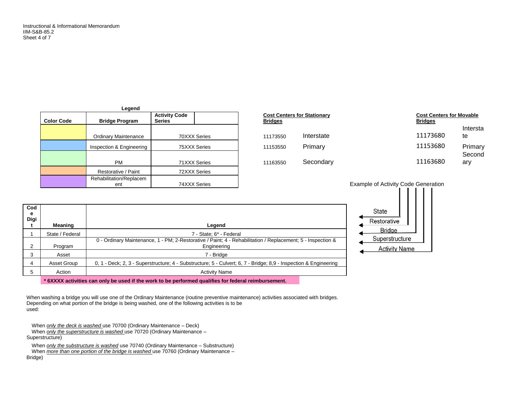| Legend            |                                |                                       |  |  |  |  |  |  |
|-------------------|--------------------------------|---------------------------------------|--|--|--|--|--|--|
| <b>Color Code</b> | <b>Bridge Program</b>          | <b>Activity Code</b><br><b>Series</b> |  |  |  |  |  |  |
|                   | <b>Ordinary Maintenance</b>    | 70XXX Series                          |  |  |  |  |  |  |
|                   | Inspection & Engineering       | 75XXX Series                          |  |  |  |  |  |  |
|                   | PM                             | 71XXX Series                          |  |  |  |  |  |  |
|                   | Restorative / Paint            | 72XXX Series                          |  |  |  |  |  |  |
|                   | Rehabilitation/Replacem<br>ent | 74XXX Series                          |  |  |  |  |  |  |

| <b>Bridge Program</b>       | <b>Activity Code</b><br><b>Series</b> | <b>Cost Centers for Stationary</b><br><b>Bridges</b> |            | <b>Cost Centers for Movable</b><br><b>Bridges</b> |                |
|-----------------------------|---------------------------------------|------------------------------------------------------|------------|---------------------------------------------------|----------------|
| <b>Ordinary Maintenance</b> | 70XXX Series                          | 11173550                                             | Interstate | 11173680                                          | Intersta<br>te |
| Inspection & Engineering    | 75XXX Series                          | 11153550                                             | Primary    | 11153680                                          | Primary        |
| <b>PM</b>                   | 71XXX Series                          | 11163550                                             | Secondary  | 11163680                                          | Second<br>ary  |

Example of Activity Code Generation



| Meaning         | Legend                                                                                                                     |
|-----------------|----------------------------------------------------------------------------------------------------------------------------|
| State / Federal | 7 - State: 6* - Federal                                                                                                    |
| Program         | 0 - Ordinary Maintenance, 1 - PM; 2-Restorative / Paint; 4 - Rehabilitation / Replacement; 5 - Inspection &<br>Engineering |
| Asset           | 7 - Bridge                                                                                                                 |
| Asset Group     | 0, 1 - Deck; 2, 3 - Superstructure; 4 - Substructure; 5 - Culvert; 6, 7 - Bridge; 8,9 - Inspection & Engineering           |
| Action          | <b>Activity Name</b>                                                                                                       |
|                 |                                                                                                                            |

**\* 6XXXX activities can only be used if the work to be performed qualifies for federal reimbursement.**

When washing a bridge you will use one of the Ordinary Maintenance (routine preventive maintenance) activities associated with bridges. Depending on what portion of the bridge is being washed, one of the following activities is to be used:

When *only the deck is washed* use 70700 (Ordinary Maintenance – Deck) When *only the superstructure is washed* use 70720 (Ordinary Maintenance – Superstructure)

When *only the substructure is washed* use 70740 (Ordinary Maintenance – Substructure) When *more than one portion of the bridge is washed* use 70760 (Ordinary Maintenance – Bridge)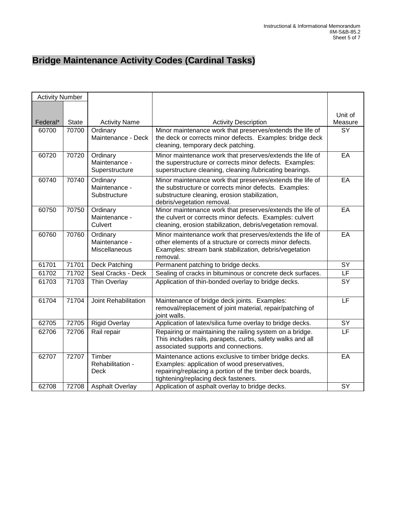# **Bridge Maintenance Activity Codes (Cardinal Tasks)**

| <b>Activity Number</b> |       |                                             |                                                                                                                                                                                                           |                          |
|------------------------|-------|---------------------------------------------|-----------------------------------------------------------------------------------------------------------------------------------------------------------------------------------------------------------|--------------------------|
|                        |       |                                             |                                                                                                                                                                                                           |                          |
|                        |       |                                             |                                                                                                                                                                                                           | Unit of                  |
| Federal*               | State | <b>Activity Name</b>                        | <b>Activity Description</b>                                                                                                                                                                               | Measure                  |
| 60700                  | 70700 | Ordinary<br>Maintenance - Deck              | Minor maintenance work that preserves/extends the life of<br>the deck or corrects minor defects. Examples: bridge deck<br>cleaning, temporary deck patching.                                              | $\overline{SY}$          |
| 60720                  | 70720 | Ordinary<br>Maintenance -<br>Superstructure | Minor maintenance work that preserves/extends the life of<br>the superstructure or corrects minor defects. Examples:<br>superstructure cleaning, cleaning /lubricating bearings.                          | EA                       |
| 60740                  | 70740 | Ordinary<br>Maintenance -<br>Substructure   | Minor maintenance work that preserves/extends the life of<br>the substructure or corrects minor defects. Examples:<br>substructure cleaning, erosion stabilization,<br>debris/vegetation removal.         | EA                       |
| 60750                  | 70750 | Ordinary<br>Maintenance -<br>Culvert        | Minor maintenance work that preserves/extends the life of<br>the culvert or corrects minor defects. Examples: culvert<br>cleaning, erosion stabilization, debris/vegetation removal.                      | EA                       |
| 60760                  | 70760 | Ordinary<br>Maintenance -<br>Miscellaneous  | Minor maintenance work that preserves/extends the life of<br>other elements of a structure or corrects minor defects.<br>Examples: stream bank stabilization, debris/vegetation<br>removal.               | EA                       |
| 61701                  | 71701 | Deck Patching                               | Permanent patching to bridge decks.                                                                                                                                                                       | SY                       |
| 61702                  | 71702 | Seal Cracks - Deck                          | Sealing of cracks in bituminous or concrete deck surfaces.                                                                                                                                                | $\overline{\mathsf{LF}}$ |
| 61703                  | 71703 | Thin Overlay                                | Application of thin-bonded overlay to bridge decks.                                                                                                                                                       | $\overline{SY}$          |
| 61704                  | 71704 | Joint Rehabilitation                        | Maintenance of bridge deck joints. Examples:<br>removal/replacement of joint material, repair/patching of<br>joint walls.                                                                                 | LF                       |
| 62705                  | 72705 | <b>Rigid Overlay</b>                        | Application of latex/silica fume overlay to bridge decks.                                                                                                                                                 | SY                       |
| 62706                  | 72706 | Rail repair                                 | Repairing or maintaining the railing system on a bridge.<br>This includes rails, parapets, curbs, safety walks and all<br>associated supports and connections.                                            | $\overline{\mathsf{LF}}$ |
| 62707                  | 72707 | Timber<br>Rehabilitation -<br><b>Deck</b>   | Maintenance actions exclusive to timber bridge decks.<br>Examples: application of wood preservatives,<br>repairing/replacing a portion of the timber deck boards,<br>tightening/replacing deck fasteners. | EA                       |
| 62708                  | 72708 | <b>Asphalt Overlay</b>                      | Application of asphalt overlay to bridge decks.                                                                                                                                                           | <b>SY</b>                |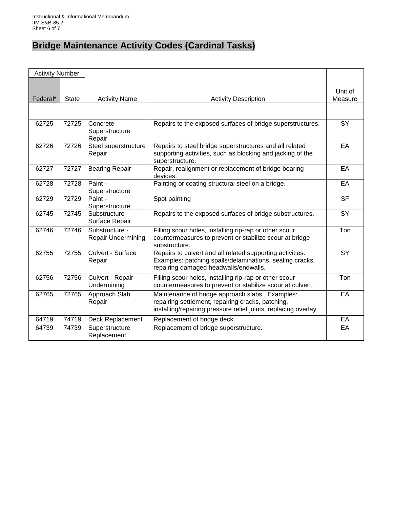# **Bridge Maintenance Activity Codes (Cardinal Tasks)**

| <b>Activity Number</b> |              |                                             |                                                                                                                                                                         |                    |
|------------------------|--------------|---------------------------------------------|-------------------------------------------------------------------------------------------------------------------------------------------------------------------------|--------------------|
| Federal*               | <b>State</b> | <b>Activity Name</b>                        | <b>Activity Description</b>                                                                                                                                             | Unit of<br>Measure |
|                        |              |                                             |                                                                                                                                                                         |                    |
| 62725                  | 72725        | Concrete<br>Superstructure<br>Repair        | Repairs to the exposed surfaces of bridge superstructures.                                                                                                              | $\overline{SY}$    |
| 62726                  | 72726        | Steel superstructure<br>Repair              | Repairs to steel bridge superstructures and all related<br>supporting activities, such as blocking and jacking of the<br>superstructure.                                | EA                 |
| 62727                  | 72727        | <b>Bearing Repair</b>                       | Repair, realignment or replacement of bridge bearing<br>devices.                                                                                                        | EA                 |
| 62728                  | 72728        | Paint -<br>Superstructure                   | Painting or coating structural steel on a bridge.                                                                                                                       | EA                 |
| 62729                  | 72729        | Paint -<br>Superstructure                   | Spot painting                                                                                                                                                           | <b>SF</b>          |
| 62745                  | 72745        | Substructure<br>Surface Repair              | Repairs to the exposed surfaces of bridge substructures.                                                                                                                | <b>SY</b>          |
| 62746                  | 72746        | Substructure -<br><b>Repair Undermining</b> | Filling scour holes, installing rip-rap or other scour<br>countermeasures to prevent or stabilize scour at bridge<br>substructure.                                      | Ton                |
| 62755                  | 72755        | Culvert - Surface<br>Repair                 | Repairs to culvert and all related supporting activities.<br>Examples: patching spalls/delaminations, sealing cracks,<br>repairing damaged headwalls/endwalls.          | <b>SY</b>          |
| 62756                  | 72756        | Culvert - Repair<br>Undermining             | Filling scour holes, installing rip-rap or other scour<br>countermeasures to prevent or stabilize scour at culvert.                                                     | Ton                |
| 62765                  | 72765        | Approach Slab<br>Repair                     | Maintenance of bridge approach slabs. Examples:<br>repairing settlement, repairing cracks, patching,<br>installing/repairing pressure relief joints, replacing overlay. | EA                 |
| 64719                  | 74719        | Deck Replacement                            | Replacement of bridge deck.                                                                                                                                             | EA                 |
| 64739                  | 74739        | Superstructure<br>Replacement               | Replacement of bridge superstructure.                                                                                                                                   | EA                 |